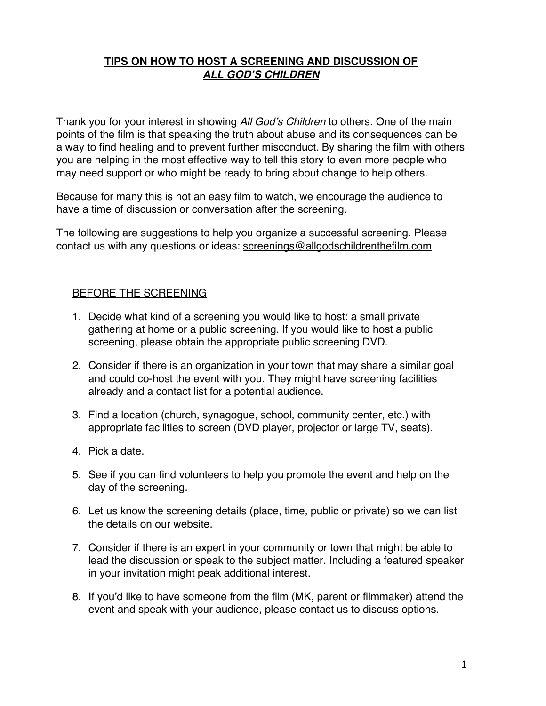### **TIPS ON HOW TO HOST A SCREENING AND DISCUSSION OF**  *ALL GOD***'***S CHILDREN*

Thank you for your interest in showing *All God*'*s Children* to others. One of the main points of the film is that speaking the truth about abuse and its consequences can be a way to find healing and to prevent further misconduct. By sharing the film with others you are helping in the most effective way to tell this story to even more people who may need support or who might be ready to bring about change to help others.

Because for many this is not an easy film to watch, we encourage the audience to have a time of discussion or conversation after the screening.

The following are suggestions to help you organize a successful screening. Please contact us with any questions or ideas: screenings@allgodschildrenthefilm.com

#### BEFORE THE SCREENING

- 1. Decide what kind of a screening you would like to host: a small private gathering at home or a public screening. If you would like to host a public screening, please obtain the appropriate public screening DVD.
- 2. Consider if there is an organization in your town that may share a similar goal and could co-host the event with you. They might have screening facilities already and a contact list for a potential audience.
- 3. Find a location (church, synagogue, school, community center, etc.) with appropriate facilities to screen (DVD player, projector or large TV, seats).
- 4. Pick a date.
- 5. See if you can find volunteers to help you promote the event and help on the day of the screening.
- 6. Let us know the screening details (place, time, public or private) so we can list the details on our website.
- 7. Consider if there is an expert in your community or town that might be able to lead the discussion or speak to the subject matter. Including a featured speaker in your invitation might peak additional interest.
- 8. If you'd like to have someone from the film (MK, parent or filmmaker) attend the event and speak with your audience, please contact us to discuss options.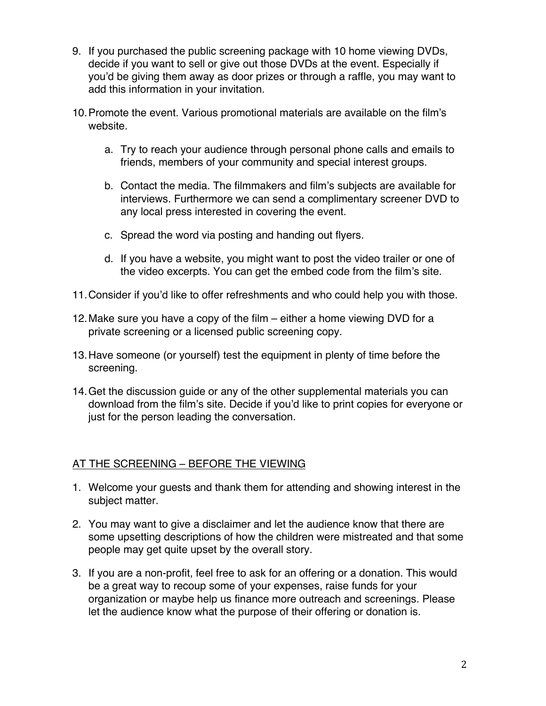- 9. If you purchased the public screening package with 10 home viewing DVDs, decide if you want to sell or give out those DVDs at the event. Especially if you'd be giving them away as door prizes or through a raffle, you may want to add this information in your invitation.
- 10.Promote the event. Various promotional materials are available on the film's website.
	- a. Try to reach your audience through personal phone calls and emails to friends, members of your community and special interest groups.
	- b. Contact the media. The filmmakers and film's subjects are available for interviews. Furthermore we can send a complimentary screener DVD to any local press interested in covering the event.
	- c. Spread the word via posting and handing out flyers.
	- d. If you have a website, you might want to post the video trailer or one of the video excerpts. You can get the embed code from the film's site.
- 11.Consider if you'd like to offer refreshments and who could help you with those.
- 12.Make sure you have a copy of the film either a home viewing DVD for a private screening or a licensed public screening copy.
- 13.Have someone (or yourself) test the equipment in plenty of time before the screening.
- 14.Get the discussion guide or any of the other supplemental materials you can download from the film's site. Decide if you'd like to print copies for everyone or just for the person leading the conversation.

### AT THE SCREENING – BEFORE THE VIEWING

- 1. Welcome your guests and thank them for attending and showing interest in the subject matter.
- 2. You may want to give a disclaimer and let the audience know that there are some upsetting descriptions of how the children were mistreated and that some people may get quite upset by the overall story.
- 3. If you are a non-profit, feel free to ask for an offering or a donation. This would be a great way to recoup some of your expenses, raise funds for your organization or maybe help us finance more outreach and screenings. Please let the audience know what the purpose of their offering or donation is.